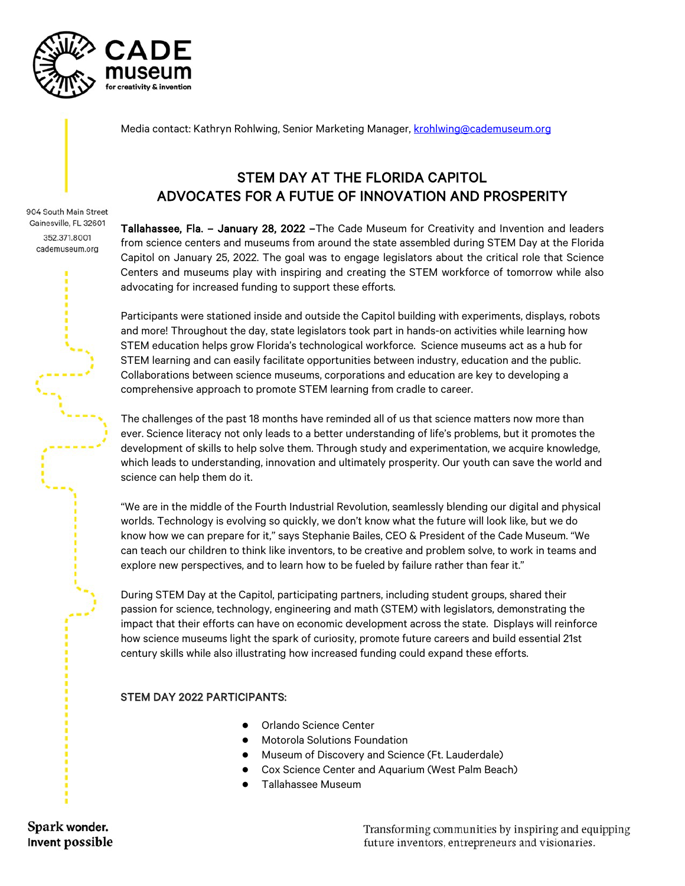

904 South Main Street Gainesville, FL 32601 352.371.8001 cademuseum.org

Media contact: Kathryn Rohlwing, Senior Marketing Manager, [krohlwing@cademuseum.org](mailto:krohlwing@cademuseum.org)

## STEM DAY AT THE FLORIDA CAPITOL ADVOCATES FOR A FUTUE OF INNOVATION AND PROSPERITY

Tallahassee, Fla. – January 28, 2022 –The Cade Museum for Creativity and Invention and leaders from science centers and museums from around the state assembled during STEM Day at the Florida Capitol on January 25, 2022. The goal was to engage legislators about the critical role that Science Centers and museums play with inspiring and creating the STEM workforce of tomorrow while also advocating for increased funding to support these efforts.

Participants were stationed inside and outside the Capitol building with experiments, displays, robots and more! Throughout the day, state legislators took part in hands-on activities while learning how STEM education helps grow Florida's technological workforce. Science museums act as a hub for STEM learning and can easily facilitate opportunities between industry, education and the public. Collaborations between science museums, corporations and education are key to developing a comprehensive approach to promote STEM learning from cradle to career.

The challenges of the past 18 months have reminded all of us that science matters now more than ever. Science literacy not only leads to a better understanding of life's problems, but it promotes the development of skills to help solve them. Through study and experimentation, we acquire knowledge, which leads to understanding, innovation and ultimately prosperity. Our youth can save the world and science can help them do it.

"We are in the middle of the Fourth Industrial Revolution, seamlessly blending our digital and physical worlds. Technology is evolving so quickly, we don't know what the future will look like, but we do know how we can prepare for it," says Stephanie Bailes, CEO & President of the Cade Museum. "We can teach our children to think like inventors, to be creative and problem solve, to work in teams and explore new perspectives, and to learn how to be fueled by failure rather than fear it."

During STEM Day at the Capitol, participating partners, including student groups, shared their passion for science, technology, engineering and math (STEM) with legislators, demonstrating the impact that their efforts can have on economic development across the state. Displays will reinforce how science museums light the spark of curiosity, promote future careers and build essential 21st century skills while also illustrating how increased funding could expand these efforts.

## STEM DAY 2022 PARTICIPANTS:

- Orlando Science Center
- **Motorola Solutions Foundation**
- **Museum of Discovery and Science (Ft. Lauderdale)**
- Cox Science Center and Aquarium (West Palm Beach)
- Tallahassee Museum

Spark wonder. Invent possible

Transforming communities by inspiring and equipping future inventors, entrepreneurs and visionaries.